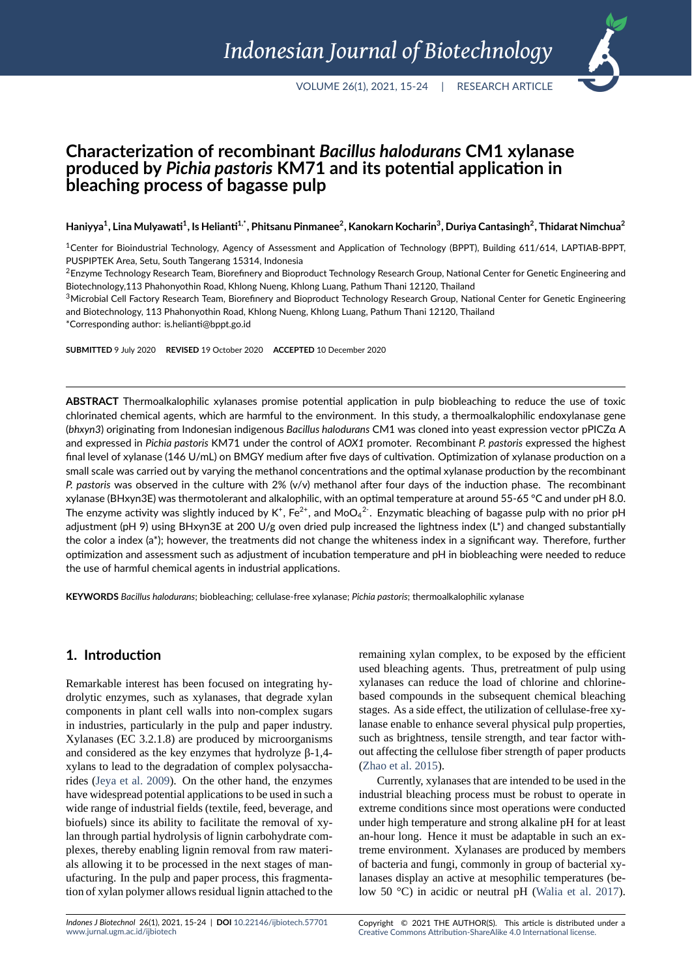# **Characterization of recombinant** *Bacillus halodurans* **CM1 xylanase produced by** *Pichia pastoris* **KM71 and its potential application in bleaching process of bagasse pulp**

**Haniyya<sup>1</sup> , Lina Mulyawati<sup>1</sup> , Is Helianti1,\*, Phitsanu Pinmanee<sup>2</sup> , Kanokarn Kocharin<sup>3</sup> , Duriya Cantasingh<sup>2</sup> , Thidarat Nimchua<sup>2</sup>**

<sup>1</sup>Center for Bioindustrial Technology, Agency of Assessment and Application of Technology (BPPT), Building 611/614, LAPTIAB‐BPPT, PUSPIPTEK Area, Setu, South Tangerang 15314, Indonesia

<sup>3</sup>Microbial Cell Factory Research Team, Biorefinery and Bioproduct Technology Research Group, National Center for Genetic Engineering and Biotechnology, 113 Phahonyothin Road, Khlong Nueng, Khlong Luang, Pathum Thani 12120, Thailand

\*Corresponding author: is.helianti@bppt.go.id

**SUBMITTED** 9 July 2020 **REVISED** 19 October 2020 **ACCEPTED** 10 December 2020

**ABSTRACT** Thermoalkalophilic xylanases promise potential application in pulp biobleaching to reduce the use of toxic chlorinated chemical agents, which are harmful to the environment. In this study, a thermoalkalophilic endoxylanase gene (*bhxyn3*) originating from Indonesian indigenous *Bacillus halodurans* CM1 was cloned into yeast expression vector pPICZα A and expressed in *Pichia pastoris* KM71 under the control of *AOX1* promoter. Recombinant *P. pastoris* expressed the highest final level of xylanase (146 U/mL) on BMGY medium after five days of cultivation. Optimization of xylanase production on a small scale was carried out by varying the methanol concentrations and the optimal xylanase production by the recombinant *P. pastoris* was observed in the culture with 2% (v/v) methanol after four days of the induction phase. The recombinant xylanase (BHxyn3E) was thermotolerant and alkalophilic, with an optimal temperature at around 55‐65 °C and under pH 8.0. The enzyme activity was slightly induced by K $^+$ , Fe $^{2+}$ , and MoO $_4{}^{2+}$ . Enzymatic bleaching of bagasse pulp with no prior pH adjustment (pH 9) using BHxyn3E at 200 U/g oven dried pulp increased the lightness index (L\*) and changed substantially the color a index (a\*); however, the treatments did not change the whiteness index in a significant way. Therefore, further optimization and assessment such as adjustment of incubation temperature and pH in biobleaching were needed to reduce the use of harmful chemical agents in industrial applications.

**KEYWORDS** *Bacillus halodurans*; biobleaching; cellulase‐free xylanase; *Pichia pastoris*; thermoalkalophilic xylanase

## **1. Introduction**

Remarkable interest has been focused on integrating hydrolytic enzymes, such as xylanases, that degrade xylan components in plant cell walls into non-complex sugars in industries, particularly in the pulp and paper industry. Xylanases (EC 3.2.1.8) are produced by microorganisms and considered as the key enzymes that hydrolyze  $β-1,4$ xylans to lead to the degradation of complex polysaccharides (Jeya et al. 2009). On the other hand, the enzymes have widespread potential applications to be used in such a wide range of industrial fields (textile, feed, beverage, and biofuels) since its ability to facilitate the removal of xylan th[rough partial hyd](#page-9-0)rolysis of lignin carbohydrate complexes, thereby enabling lignin removal from raw materials allowing it to be processed in the next stages of manufacturing. In the pulp and paper process, this fragmentation of xylan polymer allows residual lignin attached to the

remaining xylan complex, to be exposed by the efficient used bleaching agents. Thus, pretreatment of pulp using xylanases can reduce the load of chlorine and chlorinebased compounds in the subsequent chemical bleaching stages. As a side effect, the utilization of cellulase-free xylanase enable to enhance several physical pulp properties, such as brightness, tensile strength, and tear factor without affecting the cellulose fiber strength of paper products (Zhao et al. 2015).

Currently, xylanases that are intended to be used in the industrial bleaching process must be robust to operate in extreme conditions since most operations were conducted [under high tempe](#page-9-1)rature and strong alkaline pH for at least an-hour long. Hence it must be adaptable in such an extreme environment. Xylanases are produced by members of bacteria and fungi, commonly in group of bacterial xylanases display an active at mesophilic temperatures (below 50 °C) in acidic or neutral pH (Walia et al. 2017).

<sup>&</sup>lt;sup>2</sup>Enzyme Technology Research Team, Biorefinery and Bioproduct Technology Research Group, National Center for Genetic Engineering and Biotechnology,113 Phahonyothin Road, Khlong Nueng, Khlong Luang, Pathum Thani 12120, Thailand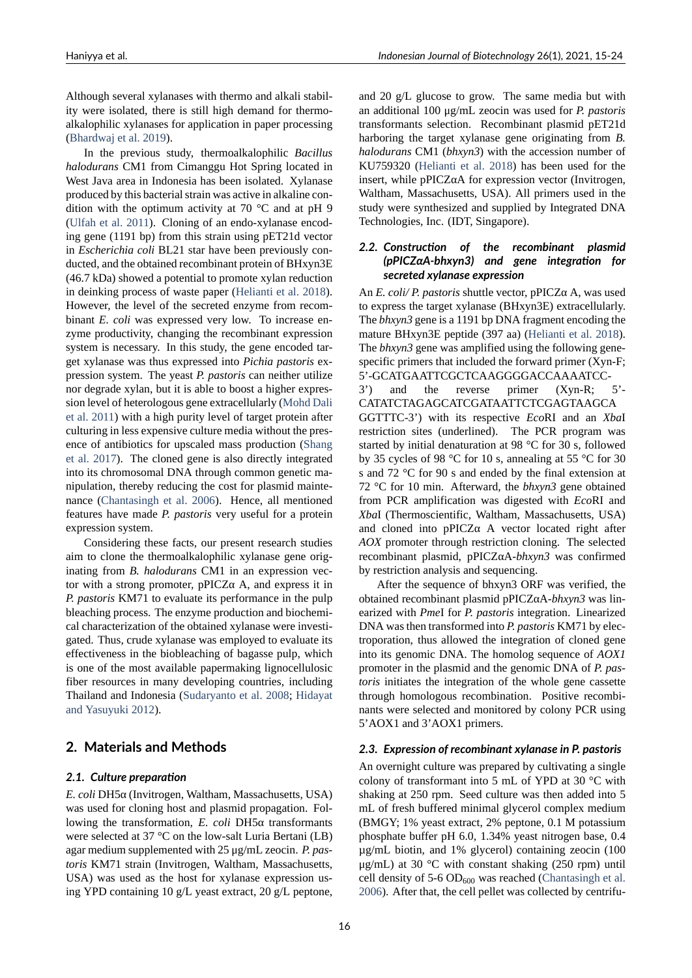Although several xylanases with thermo and alkali stability were isolated, there is still high demand for thermoalkalophilic xylanases for application in paper processing (Bhardwaj et al. 2019).

In the previous study, thermoalkalophilic *Bacillus halodurans* CM1 from Cimanggu Hot Spring located in West Java area in Indonesia has been isolated. Xylanase [produced by this bacte](#page-8-0)rial strain was active in alkaline condition with the optimum activity at 70 °C and at pH 9 (Ulfah et al. 2011). Cloning of an endo-xylanase encoding gene (1191 bp) from this strain using pET21d vector in *Escherichia coli* BL21 star have been previously conducted, and the obtained recombinant protein of BHxyn3E [\(46.7 kDa\) showed](#page-9-2) a potential to promote xylan reduction in deinking process of waste paper (Helianti et al. 2018). However, the level of the secreted enzyme from recombinant *E. coli* was expressed very low. To increase enzyme productivity, changing the recombinant expression system is necessary. In this study,t[he gene encoded tar](#page-9-3)get xylanase was thus expressed into *Pichia pastoris* expression system. The yeast *P. pastoris* can neither utilize nor degrade xylan, but it is able to boost a higher expression level of heterologous gene extracellularly (Mohd Dali et al. 2011) with a high purity level of target protein after culturing in less expensive culture media without the presence of antibiotics for upscaled mass production (Shang et al. 2017). The cloned gene is also directly [integrated](#page-9-4) [into its chr](#page-9-4)omosomal DNA through common genetic manipulation, thereby reducing the cost for plasmid maintenance (Chantasingh et al. 2006). Hence, all me[ntioned](#page-9-5) [features ha](#page-9-5)ve made *P. pastoris* very useful for a protein expression system.

Considering these facts, our present research studies aim to [clone the thermoalkaloph](#page-8-1)ilic xylanase gene originating from *B. halodurans* CM1 in an expression vector with a strong promoter,  $pPICZα$  A, and express it in *P. pastoris* KM71 to evaluate its performance in the pulp bleaching process. The enzyme production and biochemical characterization of the obtained xylanase were investigated. Thus, crude xylanase was employed to evaluate its effectiveness in the biobleaching of bagasse pulp, which is one of the most available papermaking lignocellulosic fiber resources in many developing countries, including Thailand and Indonesia (Sudaryanto et al. 2008; Hidayat and Yasuyuki 2012).

## **2. Materials and [Methods](#page-9-6)**

## *2.1. [Culture prepa](#page-9-7)ration*

*E. coli* DH5α (Invitrogen, Waltham, Massachusetts, USA) was used for cloning host and plasmid propagation. Following the transformation, *E. coli* DH5α transformants were selected at 37 °C on the low-salt Luria Bertani (LB) agar medium supplemented with 25 μg/mL zeocin. *P. pastoris* KM71 strain (Invitrogen, Waltham, Massachusetts, USA) was used as the host for xylanase expression using YPD containing 10 g/L yeast extract, 20 g/L peptone,

and 20 g/L glucose to grow. The same media but with an additional 100 μg/mL zeocin was used for *P. pastoris* transformants selection. Recombinant plasmid pET21d harboring the target xylanase gene originating from *B. halodurans* CM1 (*bhxyn3*) with the accession number of KU759320 (Helianti et al. 2018) has been used for the insert, while pPICZαA for expression vector (Invitrogen, Waltham, Massachusetts, USA). All primers used in the study were synthesized and supplied by Integrated DNA Technologie[s, Inc. \(IDT, Singapo](#page-9-3)re).

#### *2.2. Construction of the recombinant plasmid (pPICZαA‐bhxyn3) and gene integration for secreted xylanase expression*

An *E. coli/ P. pastoris* shuttle vector, pPICZα A, was used to express the target xylanase (BHxyn3E) extracellularly. The *bhxyn3* gene is a 1191 bp DNA fragment encoding the mature BHxyn3E peptide (397 aa) (Helianti et al. 2018). The *bhxyn3* gene was amplified using the following genespecific primers that included the forward primer  $(Xyn-F;$ 5'GCATGAATTCGCTCAAGGGGACCAAAATCC-3') and the reverse primer (Xyn-R; 5'-CATATCTAGAGCATCGATAATTCTCGAGTAAGCA

GGTTTC3') with its respective *Eco*RI and an *Xba*I restriction sites (underlined). The PCR program was started by initial denaturation at 98 °C for 30 s, followed by 35 cycles of 98 °C for 10 s, annealing at 55 °C for 30 s and 72 °C for 90 s and ended by the final extension at 72 °C for 10 min. Afterward, the *bhxyn3* gene obtained from PCR amplification was digested with *Eco*RI and *Xba*I (Thermoscientific, Waltham, Massachusetts, USA) and cloned into  $pPICZ\alpha$  A vector located right after *AOX* promoter through restriction cloning. The selected recombinant plasmid, pPICZαA*bhxyn3* was confirmed by restriction analysis and sequencing.

After the sequence of bhxyn3 ORF was verified, the obtained recombinant plasmid pPICZαA*bhxyn3* was linearized with *Pme*I for *P. pastoris* integration. Linearized DNA was then transformed into *P. pastoris* KM71 by electroporation, thus allowed the integration of cloned gene into its genomic DNA. The homolog sequence of *AOX1* promoter in the plasmid and the genomic DNA of *P. pastoris* initiates the integration of the whole gene cassette through homologous recombination. Positive recombinants were selected and monitored by colony PCR using 5'AOX1 and 3'AOX1 primers.

## *2.3. Expression of recombinant xylanase in P. pastoris*

An overnight culture was prepared by cultivating a single colony of transformant into 5 mL of YPD at 30 °C with shaking at 250 rpm. Seed culture was then added into 5 mL of fresh buffered minimal glycerol complex medium (BMGY; 1% yeast extract, 2% peptone, 0.1 M potassium phosphate buffer pH 6.0, 1.34% yeast nitrogen base, 0.4 µg/mL biotin, and 1% glycerol) containing zeocin (100 μg/mL) at 30 °C with constant shaking (250 rpm) until cell density of  $5-6$  OD<sub>600</sub> was reached (Chantasingh et al. 2006). After that, the cell pellet was collected by centrifu-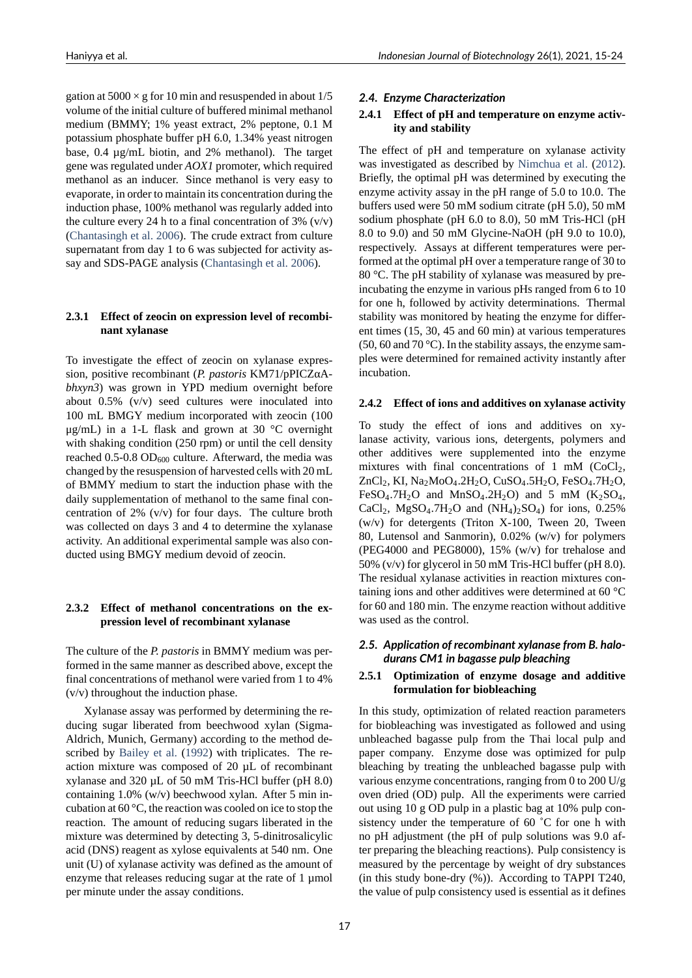gation at  $5000 \times g$  for 10 min and resuspended in about  $1/5$ volume of the initial culture of buffered minimal methanol medium (BMMY; 1% yeast extract, 2% peptone, 0.1 M potassium phosphate buffer pH 6.0, 1.34% yeast nitrogen base, 0.4 µg/mL biotin, and 2% methanol). The target gene was regulated under *AOX1* promoter, which required methanol as an inducer. Since methanol is very easy to evaporate, in order to maintain its concentration during the induction phase, 100% methanol was regularly added into the culture every 24 h to a final concentration of  $3\%$  (v/v) (Chantasingh et al. 2006). The crude extract from culture supernatant from day 1 to 6 was subjected for activity assay and SDS-PAGE analysis (Chantasingh et al. 2006).

#### **2.3.1 Effect of zeocin on e[xpression level of recom](#page-8-1)binant xylanase**

To investigate the effect of zeocin on xylanase expression, positive recombinant (*P. pastoris* KM71/pPICZαA*bhxyn3*) was grown in YPD medium overnight before about 0.5% (v/v) seed cultures were inoculated into 100 mL BMGY medium incorporated with zeocin (100  $\mu$ g/mL) in a 1-L flask and grown at 30 °C overnight with shaking condition (250 rpm) or until the cell density reached  $0.5$ -0.8 OD<sub>600</sub> culture. Afterward, the media was changed by the resuspension of harvested cells with 20 mL of BMMY medium to start the induction phase with the daily supplementation of methanol to the same final concentration of  $2\%$  (v/v) for four days. The culture broth was collected on days 3 and 4 to determine the xylanase activity. An additional experimental sample was also conducted using BMGY medium devoid of zeocin.

## **2.3.2 Effect of methanol concentrations on the expression level of recombinant xylanase**

The culture of the *P. pastoris* in BMMY medium was performed in the same manner as described above, except the final concentrations of methanol were varied from 1 to 4%  $(v/v)$  throughout the induction phase.

Xylanase assay was performed by determining the reducing sugar liberated from beechwood xylan (Sigma-Aldrich, Munich, Germany) according to the method described by Bailey et al. (1992) with triplicates. The reaction mixture was composed of 20 µL of recombinant xylanase and 320  $\mu$ L of 50 mM Tris-HCl buffer (pH 8.0) containing 1.0% (w/v) beechwood xylan. After 5 min incubation at [60 °C, the rea](#page-8-2)c[tion w](#page-8-2)as cooled on ice to stop the reaction. The amount of reducing sugars liberated in the mixture was determined by detecting 3, 5-dinitrosalicylic acid (DNS) reagent as xylose equivalents at 540 nm. One unit (U) of xylanase activity was defined as the amount of enzyme that releases reducing sugar at the rate of 1 µmol per minute under the assay conditions.

## *2.4. Enzyme Characterization*

#### **2.4.1 Effect of pH and temperature on enzyme activity and stability**

The effect of pH and temperature on xylanase activity was investigated as described by Nimchua et al. (2012). Briefly, the optimal pH was determined by executing the enzyme activity assay in the pH range of 5.0 to 10.0. The buffers used were 50 mM sodium citrate (pH 5.0), 50 mM sodium phosphate (pH  $6.0$  to  $8.0$ ), 50 mM Tris-HCl (pH 8.0 to 9.0) and 50 mM Glycine-NaOH (pH 9.0 to 10.0), respectively. Assays at different temperatures were performed at the optimal pH over a temperature range of 30 to 80 °C. The pH stability of xylanase was measured by preincubating the enzyme in various pHs ranged from 6 to 10 for one h, followed by activity determinations. Thermal stability was monitored by heating the enzyme for different times (15, 30, 45 and 60 min) at various temperatures (50, 60 and 70 °C). In the stability assays, the enzyme samples were determined for remained activity instantly after incubation.

## **2.4.2 Effect of ions and additives on xylanase activity**

To study the effect of ions and additives on xylanase activity, various ions, detergents, polymers and other additives were supplemented into the enzyme mixtures with final concentrations of 1 mM  $(CoCl<sub>2</sub>)$ , ZnCl<sub>2</sub>, KI, Na<sub>2</sub>MoO<sub>4</sub>.2H<sub>2</sub>O, CuSO<sub>4</sub>.5H<sub>2</sub>O, FeSO<sub>4</sub>.7H<sub>2</sub>O, FeSO<sub>4</sub>.7H<sub>2</sub>O and MnSO<sub>4</sub>.2H<sub>2</sub>O) and 5 mM (K<sub>2</sub>SO<sub>4</sub>, CaCl<sub>2</sub>, MgSO<sub>4</sub>.7H<sub>2</sub>O and (NH<sub>4</sub>)<sub>2</sub>SO<sub>4</sub>) for ions, 0.25% ( $w/v$ ) for detergents (Triton X-100, Tween 20, Tween 80, Lutensol and Sanmorin), 0.02% (w/v) for polymers (PEG4000 and PEG8000), 15% (w/v) for trehalose and 50% (v/v) for glycerol in 50 mM Tris-HCl buffer (pH 8.0). The residual xylanase activities in reaction mixtures containing ions and other additives were determined at 60 °C for 60 and 180 min. The enzyme reaction without additive was used as the control.

## *2.5. Application of recombinant xylanase from B. halo‐ durans CM1 in bagasse pulp bleaching*

## **2.5.1 Optimization of enzyme dosage and additive formulation for biobleaching**

In this study, optimization of related reaction parameters for biobleaching was investigated as followed and using unbleached bagasse pulp from the Thai local pulp and paper company. Enzyme dose was optimized for pulp bleaching by treating the unbleached bagasse pulp with various enzyme concentrations, ranging from 0 to 200 U/g oven dried (OD) pulp. All the experiments were carried out using 10 g OD pulp in a plastic bag at 10% pulp consistency under the temperature of 60 ˚C for one h with no pH adjustment (the pH of pulp solutions was 9.0 after preparing the bleaching reactions). Pulp consistency is measured by the percentage by weight of dry substances (in this study bone-dry  $(\%)$ ). According to TAPPI T240, the value of pulp consistency used is essential as it defines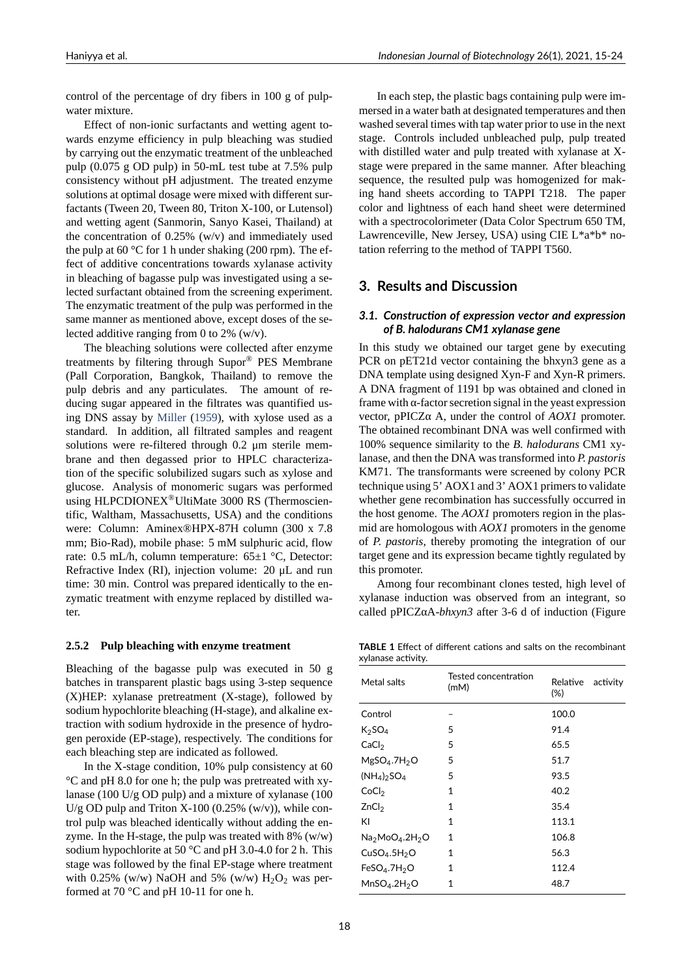control of the percentage of dry fibers in 100 g of pulpwater mixture.

Effect of non-ionic surfactants and wetting agent towards enzyme efficiency in pulp bleaching was studied by carrying out the enzymatic treatment of the unbleached pulp (0.075 g OD pulp) in 50-mL test tube at 7.5% pulp consistency without pH adjustment. The treated enzyme solutions at optimal dosage were mixed with different surfactants (Tween 20, Tween 80, Triton X-100, or Lutensol) and wetting agent (Sanmorin, Sanyo Kasei, Thailand) at the concentration of 0.25% (w/v) and immediately used the pulp at 60 °C for 1 h under shaking (200 rpm). The effect of additive concentrations towards xylanase activity in bleaching of bagasse pulp was investigated using a selected surfactant obtained from the screening experiment. The enzymatic treatment of the pulp was performed in the same manner as mentioned above, except doses of the selected additive ranging from 0 to 2% (w/v).

The bleaching solutions were collected after enzyme treatments by filtering through Supor® PES Membrane (Pall Corporation, Bangkok, Thailand) to remove the pulp debris and any particulates. The amount of reducing sugar appeared in the filtrates was quantified using DNS assay by Miller (1959), with xylose used as a standard. In addition, all filtrated samples and reagent solutions were re-filtered through  $0.2 \mu m$  sterile membrane and then degassed prior to HPLC characterization of the specific [solubil](#page-9-9)i[zed su](#page-9-9)gars such as xylose and glucose. Analysis of monomeric sugars was performed using HLPCDIONEX®UltiMate 3000 RS (Thermoscientific, Waltham, Massachusetts, USA) and the conditions were: Column: Aminex®HPX-87H column (300 x 7.8 mm; Bio-Rad), mobile phase: 5 mM sulphuric acid, flow rate: 0.5 mL/h, column temperature: 65±1 °C, Detector: Refractive Index (RI), injection volume: 20 μL and run time: 30 min. Control was prepared identically to the enzymatic treatment with enzyme replaced by distilled water.

#### **2.5.2 Pulp bleaching with enzyme treatment**

Bleaching of the bagasse pulp was executed in 50 g batches in transparent plastic bags using 3-step sequence  $(X)$ HEP: xylanase pretreatment  $(X$ -stage), followed by sodium hypochlorite bleaching (H-stage), and alkaline extraction with sodium hydroxide in the presence of hydrogen peroxide (EP-stage), respectively. The conditions for each bleaching step are indicated as followed.

In the X-stage condition,  $10\%$  pulp consistency at  $60$ °C and pH 8.0 for one h; the pulp was pretreated with xylanase (100 U/g OD pulp) and a mixture of xylanase (100 U/g OD pulp and Triton X-100 (0.25% (w/v)), while control pulp was bleached identically without adding the enzyme. In the H-stage, the pulp was treated with  $8\%$  (w/w) sodium hypochlorite at 50  $^{\circ}$ C and pH 3.0-4.0 for 2 h. This stage was followed by the final EP-stage where treatment with 0.25% (w/w) NaOH and 5% (w/w)  $H_2O_2$  was performed at 70  $^{\circ}$ C and pH 10-11 for one h.

In each step, the plastic bags containing pulp were immersed in a water bath at designated temperatures and then washed several times with tap water prior to use in the next stage. Controls included unbleached pulp, pulp treated with distilled water and pulp treated with xylanase at Xstage were prepared in the same manner. After bleaching sequence, the resulted pulp was homogenized for making hand sheets according to TAPPI T218. The paper color and lightness of each hand sheet were determined with a spectrocolorimeter (Data Color Spectrum 650 TM, Lawrenceville, New Jersey, USA) using CIE L\*a\*b\* notation referring to the method of TAPPI T560.

#### **3. Results and Discussion**

#### *3.1. Construction of expression vector and expression of B. halodurans CM1 xylanase gene*

In this study we obtained our target gene by executing PCR on pET21d vector containing the bhxyn3 gene as a DNA template using designed Xyn-F and Xyn-R primers. A DNA fragment of 1191 bp was obtained and cloned in frame with  $\alpha$ -factor secretion signal in the yeast expression vector, pPICZα A, under the control of *AOX1* promoter. The obtained recombinant DNA was well confirmed with 100% sequence similarity to the *B. halodurans* CM1 xylanase, and then the DNA was transformed into *P. pastoris* KM71. The transformants were screened by colony PCR technique using 5' AOX1 and 3' AOX1 primers to validate whether gene recombination has successfully occurred in the host genome. The *AOX1* promoters region in the plasmid are homologous with *AOX1* promoters in the genome of *P. pastoris*, thereby promoting the integration of our target gene and its expression became tightly regulated by this promoter.

Among four recombinant clones tested, high level of xylanase induction was observed from an integrant, so called pPICZαA-bhxyn3 after 3-6 d of induction (Figure

**TABLE 1** Effect of different cations and salts on the recombinant xylanase activity.

<span id="page-3-0"></span>

| Metal salts                                           | Tested concentration<br>(mM) | Relative activity<br>$(\%)$ |
|-------------------------------------------------------|------------------------------|-----------------------------|
| Control                                               |                              | 100.0                       |
| $K_2SO_4$                                             | 5                            | 91.4                        |
| CaCl <sub>2</sub>                                     | 5                            | 65.5                        |
| MgSO <sub>4</sub> .7H <sub>2</sub> O                  | 5                            | 51.7                        |
| $(NH_4)$ <sub>2</sub> SO <sub>4</sub>                 | 5                            | 93.5                        |
| CoCl <sub>2</sub>                                     | $\mathbf{1}$                 | 40.2                        |
| ZnCl <sub>2</sub>                                     | $\mathbf{1}$                 | 35.4                        |
| KI                                                    | 1                            | 113.1                       |
| $\mathsf{Na}_2\mathsf{MoO}_4.2\mathsf{H}_2\mathsf{O}$ | 1                            | 106.8                       |
| CuSO <sub>4</sub> .5H <sub>2</sub> O                  | 1                            | 56.3                        |
| FeSO <sub>4</sub> .7H <sub>2</sub> O                  | 1                            | 112.4                       |
| MnSO <sub>4</sub> .2H <sub>2</sub> O                  | 1                            | 48.7                        |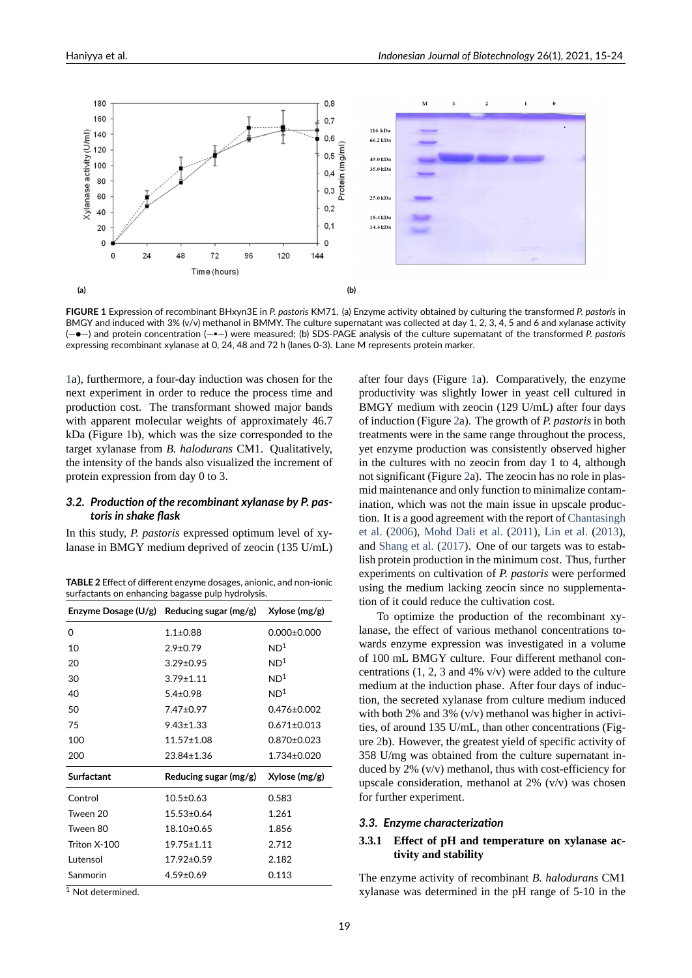<span id="page-4-0"></span>

**FIGURE 1** Expression of recombinant BHxyn3E in *P. pastoris* KM71. (a) Enzyme activity obtained by culturing the transformed *P. pastoris* in BMGY and induced with 3% (v/v) methanol in BMMY. The culture supernatant was collected at day 1, 2, 3, 4, 5 and 6 and xylanase activity (—●—) and protein concentration (—▪—) were measured; (b) SDS‐PAGE analysis of the culture supernatant of the transformed *P. pastoris* expressing recombinant xylanase at 0, 24, 48 and 72 h (lanes 0‐3). Lane M represents protein marker.

1a), furthermore, a four-day induction was chosen for the next experiment in order to reduce the process time and production cost. The transformant showed major bands with apparent molecular weights of approximately 46.7 [kD](#page-4-0)a (Figure 1b), which was the size corresponded to the target xylanase from *B. halodurans* CM1. Qualitatively, the intensity of the bands also visualized the increment of protein expression from day 0 to 3.

#### *3.2. Produc[tio](#page-4-0)n of the recombinant xylanase by P. pas‐ toris in shake flask*

In this study, *P. pastoris* expressed optimum level of xylanase in BMGY medium deprived of zeocin (135 U/mL)

| <b>TABLE 2</b> Effect of different enzyme dosages, anionic, and non-ionic |  |
|---------------------------------------------------------------------------|--|
| surfactants on enhancing bagasse pulp hydrolysis.                         |  |

<span id="page-4-1"></span>

| Enzyme Dosage $(U/g)$ | Reducing sugar $(mg/g)$ | Xylose (mg/g)     |  |
|-----------------------|-------------------------|-------------------|--|
| 0                     | $1.1 \pm 0.88$          | $0.000 \pm 0.000$ |  |
| 10                    | $2.9 \pm 0.79$          | ND <sup>1</sup>   |  |
| 20                    | $3.29 \pm 0.95$         | ND <sup>1</sup>   |  |
| 30                    | $3.79 \pm 1.11$         | ND <sup>1</sup>   |  |
| 40                    | $5.4 \pm 0.98$          | ND <sup>1</sup>   |  |
| 50                    | $7.47 + 0.97$           | $0.476 \pm 0.002$ |  |
| 75                    | $9.43 \pm 1.33$         | $0.671 \pm 0.013$ |  |
| 100                   | $11.57 \pm 1.08$        | $0.870\pm0.023$   |  |
| 200                   | $23.84 \pm 1.36$        | $1.734 \pm 0.020$ |  |
| <b>Surfactant</b>     | Reducing sugar (mg/g)   | Xylose (mg/g)     |  |
| Control               | $10.5 \pm 0.63$         | 0.583             |  |
| Tween 20              | $15.53 \pm 0.64$        | 1.261             |  |
| Tween 80              | 18.10±0.65              | 1.856             |  |
| Triton X-100          | $19.75 \pm 1.11$        | 2.712             |  |
| Lutensol              | 17.92±0.59              | 2.182             |  |
| Sanmorin              | $4.59 \pm 0.69$         | 0.113             |  |

<sup>1</sup> Not determined.

after four days (Figure 1a). Comparatively, the enzyme productivity was slightly lower in yeast cell cultured in BMGY medium with zeocin (129 U/mL) after four days of induction (Figure 2a). The growth of *P. pastoris* in both treatments were in the s[am](#page-4-0)e range throughout the process, yet enzyme production was consistently observed higher in the cultures with no zeocin from day 1 to 4, although not significant (Figu[re](#page-5-0) 2a). The zeocin has no role in plasmid maintenance and only function to minimalize contamination, which was not the main issue in upscale production. It is a good agreement with the report of Chantasingh et al. (2006), Mohd D[al](#page-5-0)i et al. (2011), Lin et al. (2013), and Shang et al. (2017). One of our targets was to establish protein production in the minimum cost. Thus, further experiments on cultivation of *P. pastoris* we[re performed](#page-8-1) [using the m](#page-8-1)e[dium lacking zeoc](#page-9-4)i[n sin](#page-9-4)ce [no suppl](#page-9-10)e[menta](#page-9-10)tion [of it could reduce t](#page-9-5)he cultivation cost.

To optimize the production of the recombinant xylanase, the effect of various methanol concentrations towards enzyme expression was investigated in a volume of 100 mL BMGY culture. Four different methanol concentrations (1, 2, 3 and 4% v/v) were added to the culture medium at the induction phase. After four days of induction, the secreted xylanase from culture medium induced with both 2% and 3%  $(v/v)$  methanol was higher in activities, of around 135 U/mL, than other concentrations (Figure 2b). However, the greatest yield of specific activity of 358 U/mg was obtained from the culture supernatant induced by  $2\%$  (v/v) methanol, thus with cost-efficiency for upscale consideration, methanol at  $2\%$  (v/v) was chosen for [fu](#page-5-0)rther experiment.

#### *3.3. Enzyme characterization*

#### **3.3.1 Effect of pH and temperature on xylanase activity and stability**

The enzyme activity of recombinant *B. halodurans* CM1 xylanase was determined in the pH range of 510 in the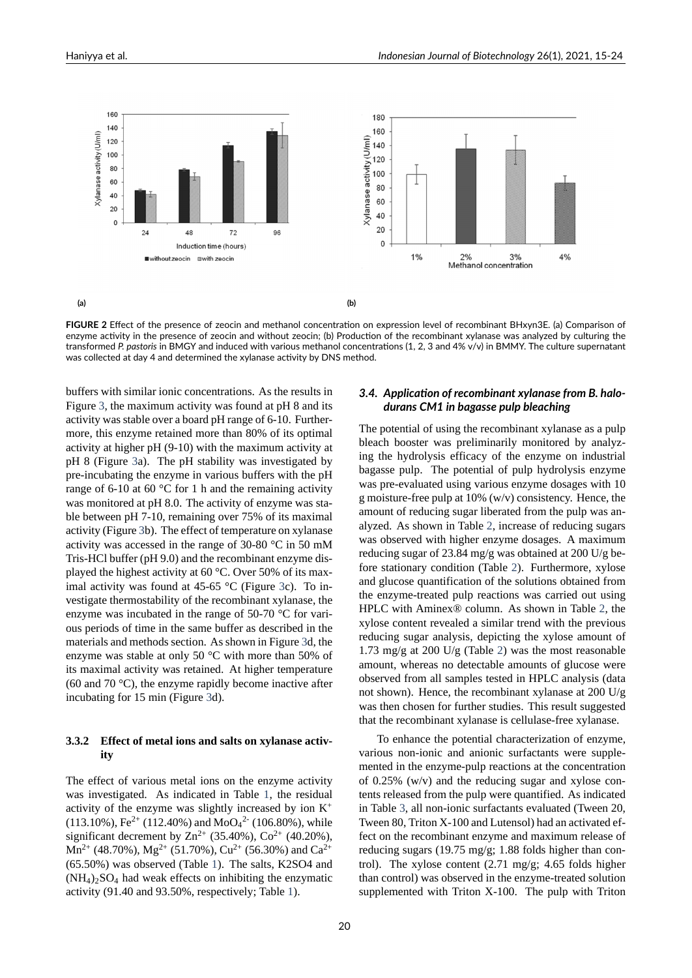<span id="page-5-0"></span>

**FIGURE 2** Effect of the presence of zeocin and methanol concentration on expression level of recombinant BHxyn3E. (a) Comparison of enzyme activity in the presence of zeocin and without zeocin; (b) Production of the recombinant xylanase was analyzed by culturing the transformed *P. pastoris* in BMGY and induced with various methanol concentrations (1, 2, 3 and 4% v/v) in BMMY. The culture supernatant was collected at day 4 and determined the xylanase activity by DNS method.

buffers with similar ionic concentrations. As the results in Figure 3, the maximum activity was found at pH 8 and its activity was stable over a board pH range of 6-10. Furthermore, this enzyme retained more than 80% of its optimal activity at higher  $pH$  (9-10) with the maximum activity at pH 8([Fi](#page-6-0)gure 3a). The pH stability was investigated by pre-incubating the enzyme in various buffers with the pH range of 6-10 at 60  $\degree$ C for 1 h and the remaining activity was monitored at pH 8.0. The activity of enzyme was sta-ble between p[H](#page-6-0) 7-10, remaining over 75% of its maximal activity (Figure 3b). The effect of temperature on xylanase activity was accessed in the range of 30-80  $\degree$ C in 50 mM Tris-HCl buffer (pH 9.0) and the recombinant enzyme displayed the highest activity at 60 °C. Over 50% of its maximal activity w[as](#page-6-0) found at 45-65  $^{\circ}$ C (Figure 3c). To investigate thermostability of the recombinant xylanase, the enzyme was incubated in the range of  $50-70$  °C for various periods of time in the same buffer as described in the materials and methods section. As shown in F[ig](#page-6-0)ure 3d, the enzyme was stable at only 50 °C with more than 50% of its maximal activity was retained. At higher temperature (60 and 70 °C), the enzyme rapidly become inactive after incubating for 15 min (Figure 3d).

#### **3.3.2 Effect of metal ions and salts on xylanase activity**

The effect of various metal ions on the enzyme activity was investigated. As indicated in Table 1, the residual activity of the enzyme was slightly increased by ion  $K^+$ (113.10%), Fe $^{2+}$  (112.40%) and MoO $_4{}^{2-}$  (106.80%), while significant decrement by  $\text{Zn}^{2+}$  (35.40%),  $\text{Co}^{2+}$  (40.20%),  $Mn^{2+}$  (48.70%),  $Mg^{2+}$  (51.70%),  $Cu^{2+}$  (56.[30](#page-3-0)%) and  $Ca^{2+}$ (65.50%) was observed (Table 1). The salts, K2SO4 and  $(NH_4)_2SO_4$  had weak effects on inhibiting the enzymatic activity (91.40 and 93.50%, respectively; Table 1).

#### *3.4. Application of recombinant xylanase from B. halo‐ durans CM1 in bagasse pulp bleaching*

The potential of using the recombinant xylanase as a pulp bleach booster was preliminarily monitored by analyzing the hydrolysis efficacy of the enzyme on industrial bagasse pulp. The potential of pulp hydrolysis enzyme was pre-evaluated using various enzyme dosages with 10 g moisture-free pulp at  $10\%$  (w/v) consistency. Hence, the amount of reducing sugar liberated from the pulp was analyzed. As shown in Table 2, increase of reducing sugars was observed with higher enzyme dosages. A maximum reducing sugar of 23.84 mg/g was obtained at 200 U/g before stationary condition (Table 2). Furthermore, xylose and glucose quantification [of](#page-4-1) the solutions obtained from the enzyme-treated pulp reactions was carried out using HPLC with Aminex® column. As shown in Table 2, the xylose content revealed a simila[r](#page-4-1) trend with the previous reducing sugar analysis, depicting the xylose amount of 1.73 mg/g at 200 U/g (Table 2) was the most reasonable amount, whereas no detectable amounts of glucos[e w](#page-4-1)ere observed from all samples tested in HPLC analysis (data not shown). Hence, the recombinant xylanase at 200 U/g was then chosen for further st[ud](#page-4-1)ies. This result suggested that the recombinant xylanase is cellulase-free xylanase.

To enhance the potential characterization of enzyme, various non-ionic and anionic surfactants were supplemented in the enzyme-pulp reactions at the concentration of 0.25% (w/v) and the reducing sugar and xylose contents released from the pulp were quantified. As indicated in Table 3, all non-ionic surfactants evaluated (Tween 20, Tween 80, Triton X-100 and Lutensol) had an activated effect on the recombinant enzyme and maximum release of reducing sugars (19.75 mg/g; 1.88 folds higher than control). T[he](#page-6-1) xylose content (2.71 mg/g; 4.65 folds higher than control) was observed in the enzyme-treated solution supplemented with Triton  $X-100$ . The pulp with Triton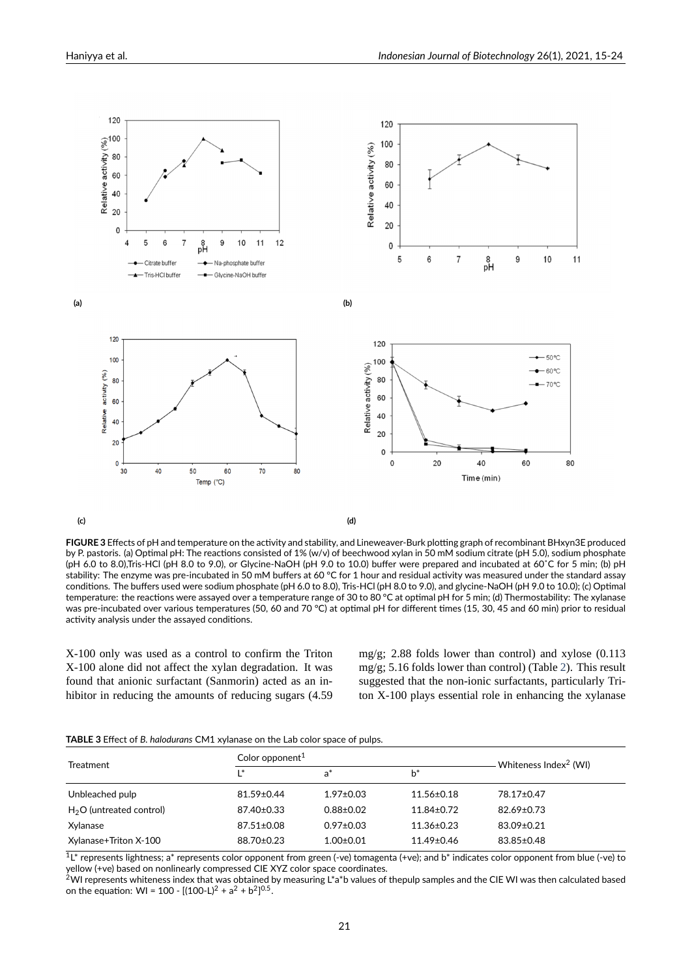<span id="page-6-0"></span>

**(c) (d)**

**FIGURE 3** Effects of pH and temperature on the activity and stability, and Lineweaver‐Burk plotting graph of recombinant BHxyn3E produced by P. pastoris. (a) Optimal pH: The reactions consisted of 1% (w/v) of beechwood xylan in 50 mM sodium citrate (pH 5.0), sodium phosphate (pH 6.0 to 8.0),Tris‐HCl (pH 8.0 to 9.0), or Glycine‐NaOH (pH 9.0 to 10.0) buffer were prepared and incubated at 60˚C for 5 min; (b) pH stability: The enzyme was pre-incubated in 50 mM buffers at 60 °C for 1 hour and residual activity was measured under the standard assay conditions. The buffers used were sodium phosphate (pH 6.0 to 8.0), Tris‐HCl (pH 8.0 to 9.0), and glycine‐NaOH (pH 9.0 to 10.0); (c) Optimal temperature: the reactions were assayed over a temperature range of 30 to 80 °C at optimal pH for 5 min; (d) Thermostability: The xylanase was pre‐incubated over various temperatures (50, 60 and 70 °C) at optimal pH for different times (15, 30, 45 and 60 min) prior to residual activity analysis under the assayed conditions.

X-100 only was used as a control to confirm the Triton X-100 alone did not affect the xylan degradation. It was found that anionic surfactant (Sanmorin) acted as an inhibitor in reducing the amounts of reducing sugars (4.59

mg/g; 2.88 folds lower than control) and xylose (0.113 mg/g; 5.16 folds lower than control) (Table 2). This result suggested that the non-ionic surfactants, particularly Triton X-100 plays essential role in enhancing the xylanase

| <b>TABLE 3</b> Effect of B. halodurans CM1 xylanase on the Lab color space of pulps. |  |  |  |
|--------------------------------------------------------------------------------------|--|--|--|
|--------------------------------------------------------------------------------------|--|--|--|

<span id="page-6-1"></span>

| <b>Treatment</b>          | Color opponent <sup>1</sup> | Whiteness Index <sup>2</sup> (WI) |                  |            |
|---------------------------|-----------------------------|-----------------------------------|------------------|------------|
|                           | $\mathsf{I}^*$              | $a^*$                             | $b^*$            |            |
| Unbleached pulp           | 81.59±0.44                  | $1.97 \pm 0.03$                   | $11.56 \pm 0.18$ | 78.17±0.47 |
| $H2O$ (untreated control) | 87.40±0.33                  | $0.88 \pm 0.02$                   | $11.84 \pm 0.72$ | 82.69±0.73 |
| Xylanase                  | $87.51 \pm 0.08$            | $0.97 \pm 0.03$                   | $11.36 \pm 0.23$ | 83.09±0.21 |
| Xylanase+Triton X-100     | 88.70±0.23                  | $1.00 \pm 0.01$                   | $11.49 \pm 0.46$ | 83.85±0.48 |

<sup>1</sup>L\* represents lightness; a\* represents color opponent from green (-ve) tomagenta (+ve); and b\* indicates color opponent from blue (-ve) to yellow (+ve) based on nonlinearly compressed CIE XYZ color space coordinates.

 $^2$ WI represents whiteness index that was obtained by measuring L\*a\*b values of thepulp samples and the CIE WI was then calculated based on the equation: WI = 100 - [(100-L)<sup>2</sup> + a<sup>2</sup> + b<sup>2</sup>]<sup>0.5</sup>.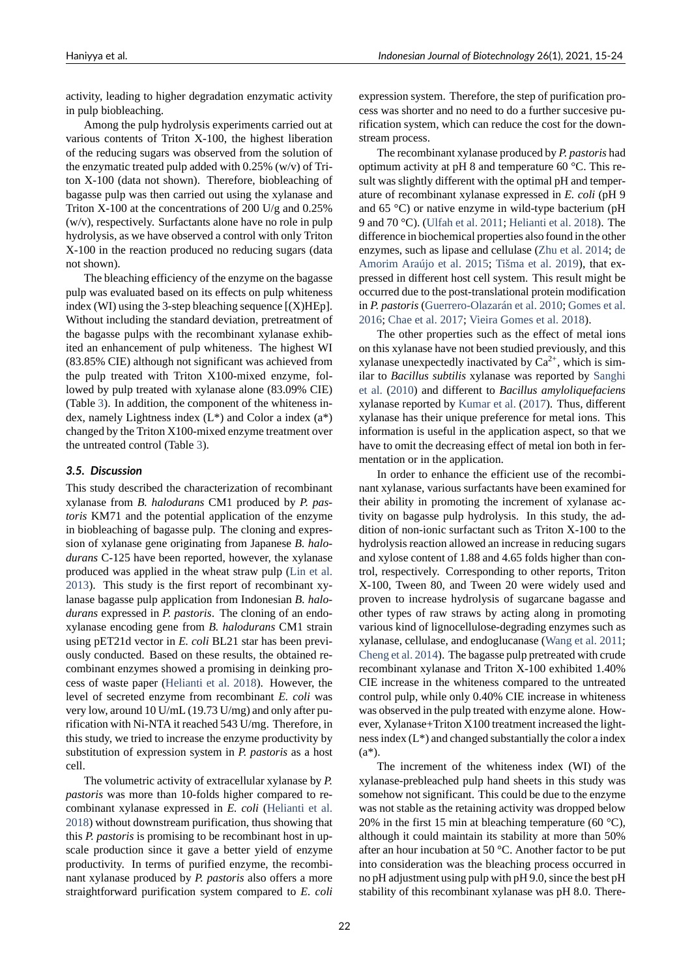activity, leading to higher degradation enzymatic activity in pulp biobleaching.

Among the pulp hydrolysis experiments carried out at various contents of Triton X-100, the highest liberation of the reducing sugars was observed from the solution of the enzymatic treated pulp added with 0.25% (w/v) of Triton X-100 (data not shown). Therefore, biobleaching of bagasse pulp was then carried out using the xylanase and Triton X-100 at the concentrations of 200 U/g and  $0.25\%$ (w/v), respectively. Surfactants alone have no role in pulp hydrolysis, as we have observed a control with only Triton X-100 in the reaction produced no reducing sugars (data not shown).

The bleaching efficiency of the enzyme on the bagasse pulp was evaluated based on its effects on pulp whiteness index (WI) using the 3-step bleaching sequence  $[(X)H\mathbb{E}p]$ . Without including the standard deviation, pretreatment of the bagasse pulps with the recombinant xylanase exhibited an enhancement of pulp whiteness. The highest WI (83.85% CIE) although not significant was achieved from the pulp treated with Triton X100-mixed enzyme, followed by pulp treated with xylanase alone (83.09% CIE) (Table 3). In addition, the component of the whiteness index, namely Lightness index  $(L^*)$  and Color a index  $(a^*)$ changed by the Triton  $X100$ -mixed enzyme treatment over the untreated control (Table 3).

#### *3.5. [Dis](#page-6-1)cussion*

This study described the characterization of recombinant xylanase from *B. halodura[ns](#page-6-1)* CM1 produced by *P. pastoris* KM71 and the potential application of the enzyme in biobleaching of bagasse pulp. The cloning and expression of xylanase gene originating from Japanese *B. halo*durans C-125 have been reported, however, the xylanase produced was applied in the wheat straw pulp (Lin et al. 2013). This study is the first report of recombinant xylanase bagasse pulp application from Indonesian *B. halodurans* expressed in *P. pastoris*. The cloning of an endoxylanase encoding gene from *B. halodurans* C[M1 strain](#page-9-10) [using](#page-9-10) pET21d vector in *E. coli* BL21 star has been previously conducted. Based on these results, the obtained recombinant enzymes showed a promising in deinking process of waste paper (Helianti et al. 2018). However, the level of secreted enzyme from recombinant *E. coli* was very low, around 10 U/mL (19.73 U/mg) and only after purification with Ni-NTA it reached 543 U/mg. Therefore, in this study, we tried to [increase the enzyme](#page-9-3) productivity by substitution of expression system in *P. pastoris* as a host cell.

The volumetric activity of extracellular xylanase by *P. pastoris* was more than 10-folds higher compared to recombinant xylanase expressed in *E. coli* (Helianti et al. 2018) without downstream purification, thus showing that this *P. pastoris* is promising to be recombinant host in upscale production since it gave a better yield of enzyme productivity. In terms of purified enzyme[, the recombi](#page-9-3)[nant x](#page-9-3)ylanase produced by *P. pastoris* also offers a more straightforward purification system compared to *E. coli* expression system. Therefore, the step of purification process was shorter and no need to do a further succesive purification system, which can reduce the cost for the downstream process.

The recombinant xylanase produced by *P. pastoris* had optimum activity at pH 8 and temperature 60 °C. This result was slightly different with the optimal pH and temperature of recombinant xylanase expressed in *E. coli* (pH 9 and 65  $^{\circ}$ C) or native enzyme in wild-type bacterium (pH 9 and 70 °C). (Ulfah et al. 2011; Helianti et al. 2018). The difference in biochemical properties also found in the other enzymes, such as lipase and cellulase (Zhu et al. 2014; de Amorim Araújo et al. 2015; Tišma et al. 2019), that expressed in diff[erent host cell sy](#page-9-2)s[tem. This result mi](#page-9-3)ght be occurred due to the post-translational protein modification in *P. pastoris* (Guerrero-Olazarán et al. [2010;](#page-9-11) Go[mes e](#page-9-11)t [al.](#page-8-3) 2016; [Chae et al.](#page-8-3) 2017; [Vieir](#page-8-3)[a Gomes et a](#page-9-12)l. [201](#page-9-12)8).

The other properties such as the effect of metal ions on this xylanase have not been studied previously, and this xylanase unexpectedly inactivated by  $Ca^{2+}$ , [which is sim](#page-9-14)[ilar to](#page-9-14) *[Bacillus subtilis](#page-8-4)* [xylanase was reported by](#page-9-15) Sanghi et al. (2010) and different to *Bacillus amyloliquefaciens* xylanase reported by Kumar et al. (2017). Thus, different xylanase has their unique preference for metal ions. This information is useful in the application aspect, so [that we](#page-9-16) [have](#page-9-16) t[o omit](#page-9-16) the decreasing effect of metal ion both in fermentation or in the a[pplication.](#page-9-17)

In order to enhance the efficient use of the recombinant xylanase, various surfactants have been examined for their ability in promoting the increment of xylanase activity on bagasse pulp hydrolysis. In this study, the addition of non-ionic surfactant such as Triton  $X-100$  to the hydrolysis reaction allowed an increase in reducing sugars and xylose content of 1.88 and 4.65 folds higher than control, respectively. Corresponding to other reports, Triton X-100, Tween 80, and Tween 20 were widely used and proven to increase hydrolysis of sugarcane bagasse and other types of raw straws by acting along in promoting various kind of lignocellulose-degrading enzymes such as xylanase, cellulase, and endoglucanase (Wang et al. 2011; Cheng et al. 2014). The bagasse pulp pretreated with crude recombinant xylanase and Triton X-100 exhibited 1.40% CIE increase in the whiteness compared to the untreated control pulp, while only 0.40% CIE incr[ease in whiteness](#page-9-18) [was observed in th](#page-8-5)e pulp treated with enzyme alone. However, Xylanase+Triton X100 treatment increased the lightness index (L\*) and changed substantially the color a index (a\*).

The increment of the whiteness index (WI) of the xylanase-prebleached pulp hand sheets in this study was somehow not significant. This could be due to the enzyme was not stable as the retaining activity was dropped below 20% in the first 15 min at bleaching temperature (60  $^{\circ}$ C), although it could maintain its stability at more than 50% after an hour incubation at 50 °C. Another factor to be put into consideration was the bleaching process occurred in no pH adjustment using pulp with pH 9.0, since the best pH stability of this recombinant xylanase was pH 8.0. There-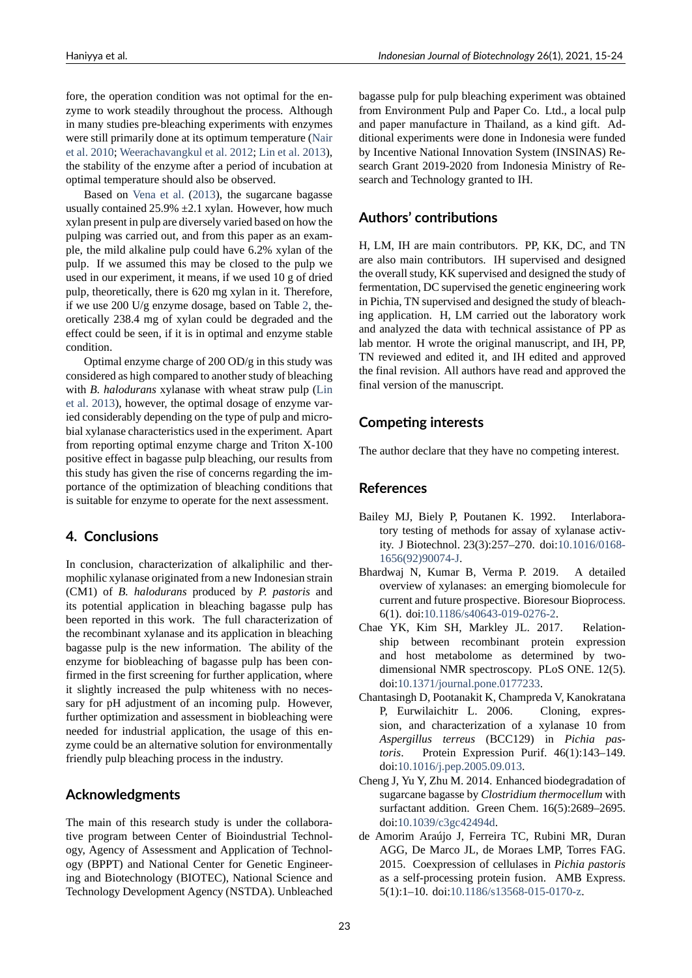fore, the operation condition was not optimal for the enzyme to work steadily throughout the process. Although in many studies pre-bleaching experiments with enzymes were still primarily done at its optimum temperature (Nair et al. 2010; Weerachavangkul et al. 2012; Lin et al. 2013), the stability of the enzyme after a period of incubation at optimal temperature should also be observed.

Based on Vena et al. (2013), the sugarcane ba[gasse](#page-9-19) [usually con](#page-9-19)[tained 25.9% ±2.1 xylan. How](#page-9-20)[ever, how muc](#page-9-10)h xylan present in pulp are diversely varied based on how the pulping was carried out, and from this paper as an example, the mild [alkaline pulp could](#page-9-21) have 6.2% xylan of the pulp. If we assumed this may be closed to the pulp we used in our experiment, it means, if we used 10 g of dried pulp, theoretically, there is 620 mg xylan in it. Therefore, if we use 200 U/g enzyme dosage, based on Table 2, theoretically 238.4 mg of xylan could be degraded and the effect could be seen, if it is in optimal and enzyme stable condition.

Optimal enzyme charge of 200 OD/g in this stu[dy](#page-4-1) was considered as high compared to another study of bleaching with *B. halodurans* xylanase with wheat straw pulp (Lin et al. 2013), however, the optimal dosage of enzyme varied considerably depending on the type of pulp and microbial xylanase characteristics used in the experiment. Apart from reporting optimal enzyme charge and Triton X-[100](#page-9-10) [posit](#page-9-10)i[ve eff](#page-9-10)ect in bagasse pulp bleaching, our results from this study has given the rise of concerns regarding the importance of the optimization of bleaching conditions that is suitable for enzyme to operate for the next assessment.

## **4. Conclusions**

In conclusion, characterization of alkaliphilic and thermophilic xylanase originated from a new Indonesian strain (CM1) of *B. halodurans* produced by *P. pastoris* and its potential application in bleaching bagasse pulp has been reported in this work. The full characterization of the recombinant xylanase and its application in bleaching bagasse pulp is the new information. The ability of the enzyme for biobleaching of bagasse pulp has been confirmed in the first screening for further application, where it slightly increased the pulp whiteness with no necessary for pH adjustment of an incoming pulp. However, further optimization and assessment in biobleaching were needed for industrial application, the usage of this enzyme could be an alternative solution for environmentally friendly pulp bleaching process in the industry.

## **Acknowledgments**

The main of this research study is under the collaborative program between Center of Bioindustrial Technology, Agency of Assessment and Application of Technology (BPPT) and National Center for Genetic Engineering and Biotechnology (BIOTEC), National Science and Technology Development Agency (NSTDA). Unbleached bagasse pulp for pulp bleaching experiment was obtained from Environment Pulp and Paper Co. Ltd., a local pulp and paper manufacture in Thailand, as a kind gift. Additional experiments were done in Indonesia were funded by Incentive National Innovation System (INSINAS) Research Grant 2019-2020 from Indonesia Ministry of Research and Technology granted to IH.

## **Authors' contributions**

H, LM, IH are main contributors. PP, KK, DC, and TN are also main contributors. IH supervised and designed the overall study, KK supervised and designed the study of fermentation, DC supervised the genetic engineering work in Pichia, TN supervised and designed the study of bleaching application. H, LM carried out the laboratory work and analyzed the data with technical assistance of PP as lab mentor. H wrote the original manuscript, and IH, PP, TN reviewed and edited it, and IH edited and approved the final revision. All authors have read and approved the final version of the manuscript.

## **Competing interests**

The author declare that they have no competing interest.

#### **References**

- Bailey MJ, Biely P, Poutanen K. 1992. Interlaboratory testing of methods for assay of xylanase activity. J Biotechnol. 23(3):257–270. doi:10.1016/0168 1656(92)90074J.
- <span id="page-8-2"></span>Bhardwaj N, Kumar B, Verma P. 2019. A detailed overview of xylanases: an emerging biomolecule for current and future prospective. Biores[our Bioprocess.](https://doi.org/10.1016/0168-1656(92)90074-J) [6\(1\). doi:10.1186](https://doi.org/10.1016/0168-1656(92)90074-J)/s40643-019-0276-2.
- <span id="page-8-0"></span>Chae YK, Kim SH, Markley JL. 2017. Relationship between recombinant protein expression and host metabolome as determined by twodimensio[nal NMR spectroscopy. PLo](https://doi.org/10.1186/s40643-019-0276-2)S ONE. 12(5). doi:10.1371/journal.pone.0177233.
- <span id="page-8-4"></span>Chantasingh D, Pootanakit K, Champreda V, Kanokratana P, Eurwilaichitr L. 2006. Cloning, expression, and characterization of a xylanase 10 from *Asp[ergillus terreus](https://doi.org/10.1371/journal.pone.0177233)* (BCC129) in *Pichia pastoris*. Protein Expression Purif. 46(1):143–149. doi:10.1016/j.pep.2005.09.013.
- <span id="page-8-1"></span>Cheng J, Yu Y, Zhu M. 2014. Enhanced biodegradation of sugarcane bagasse by *Clostridium thermocellum* with surfactant addition. Green Chem. 16(5):2689–2695. doi[:10.1039/c3gc42494d.](https://doi.org/10.1016/j.pep.2005.09.013)
- <span id="page-8-5"></span><span id="page-8-3"></span>de Amorim Araújo J, Ferreira TC, Rubini MR, Duran AGG, De Marco JL, de Moraes LMP, Torres FAG. 2015. Coexpression of cellulases in *Pichia pastoris* as a self-processing protein fusion. AMB Express. 5(1):1–10. doi:10.1186/s13568-015-0170-z.